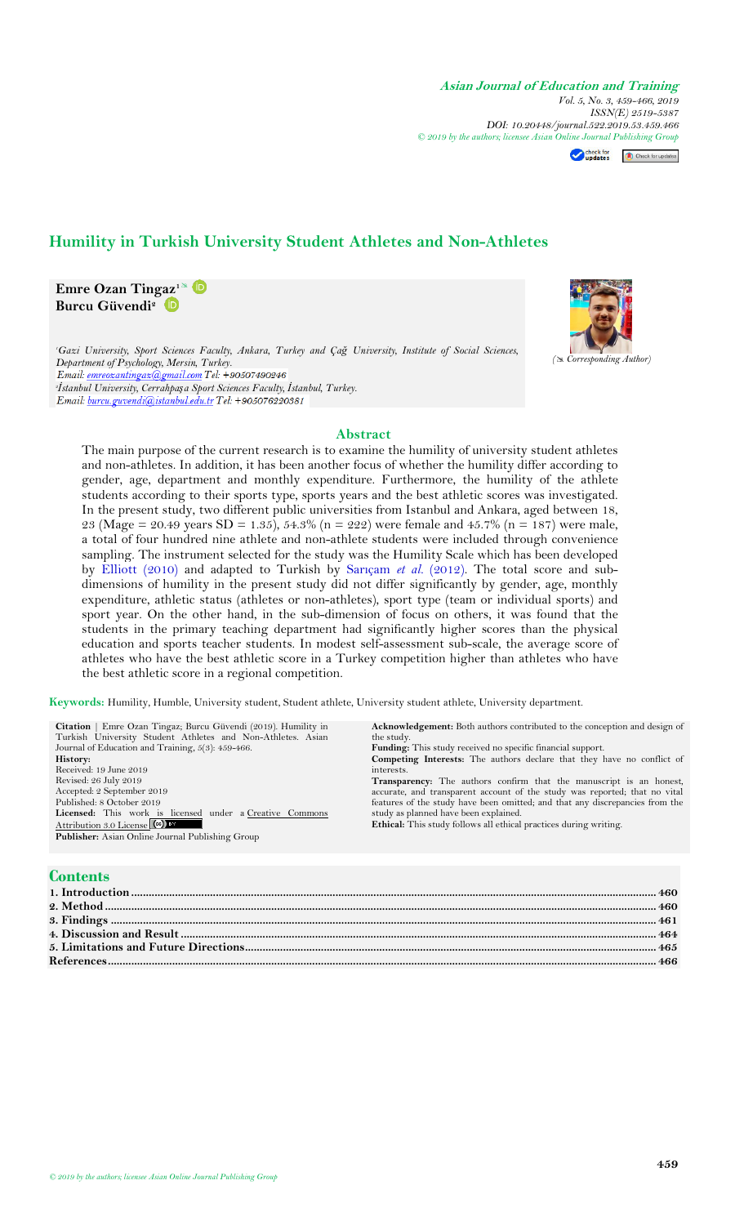Check for<br> **Check for updates** 

# **Humility in Turkish University Student Athletes and Non-Athletes**

**Emre Ozan Tingaz<sup>1</sup>** **Burcu Güvendi<sup>2</sup>**

*<sup>1</sup>Gazi University, Sport Sciences Faculty, Ankara, Turkey and Çağ University, Institute of Social Sciences, Department of Psychology, Mersin, Turkey. 2 İstanbul University, Cerrahpaşa Sport Sciences Faculty, İstanbul, Turkey.*

## **Abstract**

The main purpose of the current research is to examine the humility of university student athletes and non-athletes. In addition, it has been another focus of whether the humility differ according to gender, age, department and monthly expenditure. Furthermore, the humility of the athlete students according to their sports type, sports years and the best athletic scores was investigated. In the present study, two different public universities from Istanbul and Ankara, aged between 18, 23 (Mage = 20.49 years SD = 1.35), 54.3% (n = 222) were female and 45.7% (n = 187) were male, a total of four hundred nine athlete and non-athlete students were included through convenience sampling. The instrument selected for the study was the Humility Scale which has been developed by [Elliott](#page-7-0) (2010) and adapted to Turkish by [Sarıçam](#page-7-1) *et al.* (2012). The total score and subdimensions of humility in the present study did not differ significantly by gender, age, monthly expenditure, athletic status (athletes or non-athletes), sport type (team or individual sports) and sport year. On the other hand, in the sub-dimension of focus on others, it was found that the students in the primary teaching department had significantly higher scores than the physical education and sports teacher students. In modest self-assessment sub-scale, the average score of athletes who have the best athletic score in a Turkey competition higher than athletes who have the best athletic score in a regional competition.

**Keywords:** Humility, Humble, University student, Student athlete, University student athlete, University department.

| <b>Citation</b>   Emre Ozan Tingaz; Burcu Güvendi (2019). Humility in | <b>Acknowledgement:</b> Both authors contributed to the conception and design of |
|-----------------------------------------------------------------------|----------------------------------------------------------------------------------|
| Turkish University Student Athletes and Non-Athletes. Asian           | the study.                                                                       |
| Journal of Education and Training, 5(3): 459-466.                     | <b>Funding:</b> This study received no specific financial support.               |
| History:                                                              | <b>Competing Interests:</b> The authors declare that they have no conflict of    |
| Received: 19 June 2019                                                | interests.                                                                       |
| Revised: 26 July 2019                                                 | Transparency: The authors confirm that the manuscript is an honest,              |
| Accepted: 2 September 2019                                            | accurate, and transparent account of the study was reported; that no vital       |
| Published: 8 October 2019                                             | features of the study have been omitted; and that any discrepancies from the     |
| Licensed: This work is licensed under a Creative Commons              | study as planned have been explained.                                            |
| Attribution 3.0 License (cc) BY                                       | <b>Ethical:</b> This study follows all ethical practices during writing.         |
| <b>Publisher:</b> Asian Online Journal Publishing Group               |                                                                                  |
|                                                                       |                                                                                  |
|                                                                       |                                                                                  |

# **Contents**

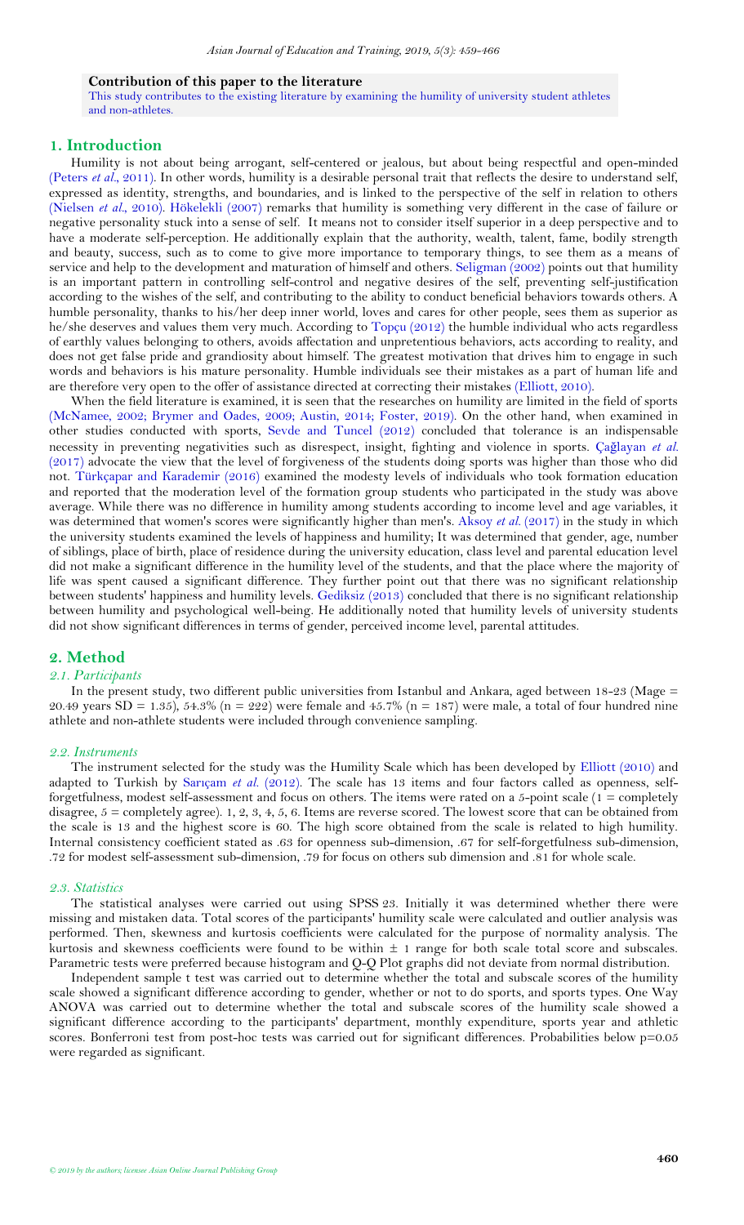### **Contribution of this paper to the literature**

This study contributes to the existing literature by examining the humility of university student athletes and non-athletes.

### <span id="page-1-0"></span>**1. Introduction**

Humility is not about being arrogant, self-centered or jealous, but about being respectful and open-minded [\(Peters](#page-7-3) *et al.*, 2011). In other words, humility is a desirable personal trait that reflects the desire to understand self, expressed as identity, strengths, and boundaries, and is linked to the perspective of the self in relation to others [\(Nielsen](#page-7-4) *et al.*, 2010). [Hökelekli \(2007\)](#page-7-5) remarks that humility is something very different in the case of failure or negative personality stuck into a sense of self. It means not to consider itself superior in a deep perspective and to have a moderate self-perception. He additionally explain that the authority, wealth, talent, fame, bodily strength and beauty, success, such as to come to give more importance to temporary things, to see them as a means of service and help to the development and maturation of himself and others. [Seligman \(2002\)](#page-7-6) points out that humility is an important pattern in controlling self-control and negative desires of the self, preventing self-justification according to the wishes of the self, and contributing to the ability to conduct beneficial behaviors towards others. A humble personality, thanks to his/her deep inner world, loves and cares for other people, sees them as superior as he/she deserves and values them very much. According to [Topçu \(2012\)](#page-7-7) the humble individual who acts regardless of earthly values belonging to others, avoids affectation and unpretentious behaviors, acts according to reality, and does not get false pride and grandiosity about himself. The greatest motivation that drives him to engage in such words and behaviors is his mature personality. Humble individuals see their mistakes as a part of human life and are therefore very open to the offer of assistance directed at correcting their mistakes [\(Elliott, 2010\)](#page-7-0).

When the field literature is examined, it is seen that the researches on humility are limited in the field of sports [\(McNamee, 2002;](#page-7-8) [Brymer and Oades, 2009;](#page-7-9) [Austin, 2014;](#page-7-10) [Foster, 2019\)](#page-7-11). On the other hand, when examined in other studies conducted with sports, [Sevde and Tuncel \(2012\)](#page-7-12) concluded that tolerance is an indispensable necessity in preventing negativities such as disrespect, insight, fighting and violence in sports. Çağ[layan](#page-7-13) *et al.* [\(2017\)](#page-7-13) advocate the view that the level of forgiveness of the students doing sports was higher than those who did not. [Türkçapar and Karademir \(2016\)](#page-7-14) examined the modesty levels of individuals who took formation education and reported that the moderation level of the formation group students who participated in the study was above average. While there was no difference in humility among students according to income level and age variables, it was determined that women's scores were significantly higher than men's. [Aksoy](#page-7-15) *et al.* (2017) in the study in which the university students examined the levels of happiness and humility; It was determined that gender, age, number of siblings, place of birth, place of residence during the university education, class level and parental education level did not make a significant difference in the humility level of the students, and that the place where the majority of life was spent caused a significant difference. They further point out that there was no significant relationship between students' happiness and humility levels. [Gediksiz \(2013\)](#page-7-16) concluded that there is no significant relationship between humility and psychological well-being. He additionally noted that humility levels of university students did not show significant differences in terms of gender, perceived income level, parental attitudes.

#### <span id="page-1-1"></span>**2. Method**

# *2.1. Participants*

In the present study, two different public universities from Istanbul and Ankara, aged between 18-23 (Mage = 20.49 years SD = 1.35), 54.3% (n = 222) were female and 45.7% (n = 187) were male, a total of four hundred nine athlete and non-athlete students were included through convenience sampling.

#### *2.2. Instruments*

The instrument selected for the study was the Humility Scale which has been developed by [Elliott \(2010\)](#page-7-0) and adapted to Turkish by Sarıçam et al. [\(2012\)](#page-7-1). The scale has 13 items and four factors called as openness, selfforgetfulness, modest self-assessment and focus on others. The items were rated on a 5-point scale (1 = completely disagree,  $5 =$  completely agree). 1, 2, 3, 4, 5, 6. Items are reverse scored. The lowest score that can be obtained from the scale is 13 and the highest score is 60. The high score obtained from the scale is related to high humility. Internal consistency coefficient stated as .63 for openness sub-dimension, .67 for self-forgetfulness sub-dimension, .72 for modest self-assessment sub-dimension, .79 for focus on others sub dimension and .81 for whole scale.

#### *2.3. Statistics*

The statistical analyses were carried out using SPSS 23. Initially it was determined whether there were missing and mistaken data. Total scores of the participants' humility scale were calculated and outlier analysis was performed. Then, skewness and kurtosis coefficients were calculated for the purpose of normality analysis. The kurtosis and skewness coefficients were found to be within ± 1 range for both scale total score and subscales. Parametric tests were preferred because histogram and Q-Q Plot graphs did not deviate from normal distribution.

Independent sample t test was carried out to determine whether the total and subscale scores of the humility scale showed a significant difference according to gender, whether or not to do sports, and sports types. One Way ANOVA was carried out to determine whether the total and subscale scores of the humility scale showed a significant difference according to the participants' department, monthly expenditure, sports year and athletic scores. Bonferroni test from post-hoc tests was carried out for significant differences. Probabilities below p=0.05 were regarded as significant.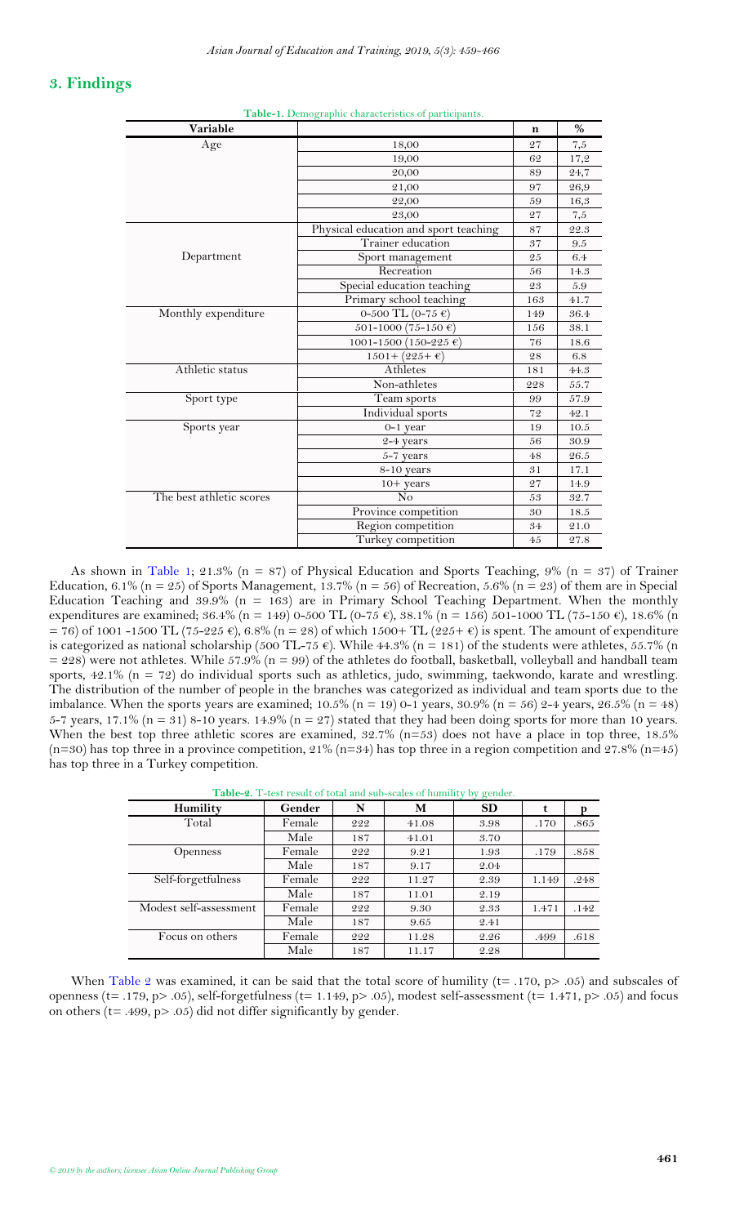# <span id="page-2-1"></span><span id="page-2-0"></span>**3. Findings**

| Variable                 |                                       | $\mathbf n$ | %        |
|--------------------------|---------------------------------------|-------------|----------|
| Age                      | 18,00                                 | 27          | $_{7,5}$ |
|                          | 19,00                                 | 62          | 17,2     |
|                          | 20,00                                 | 89          | 24,7     |
|                          | 21,00                                 | 97          | 26,9     |
|                          | 22,00                                 | 59          | 16,3     |
|                          | 23,00                                 | 27          | 7,5      |
|                          | Physical education and sport teaching | 87          | 22.3     |
|                          | Trainer education                     | 37          | 9.5      |
| Department               | Sport management                      | 25          | 6.4      |
|                          | Recreation                            | 56          | 14.3     |
|                          | Special education teaching            | 23          | 5.9      |
|                          | Primary school teaching               | 163         | 41.7     |
| Monthly expenditure      | 0-500 TL (0-75 €)                     | 149         | 36.4     |
|                          | 501-1000 (75-150 €)                   | 156         | 38.1     |
|                          | 1001-1500 (150-225 €)                 | 76          | 18.6     |
|                          | $1501 + (225 + \epsilon)$             | 28          | 6.8      |
| Athletic status          | Athletes                              | 181         | 44.3     |
|                          | Non-athletes                          | 228         | 55.7     |
| Sport type               | Team sports                           | 99          | 57.9     |
|                          | Individual sports                     | 72          | 42.1     |
| Sports year              | $0-1$ year                            | 19          | 10.5     |
|                          | 2-4 years                             | 56          | 30.9     |
|                          | $5-7$ years                           | 48          | 26.5     |
|                          | 8-10 years                            | 31          | 17.1     |
|                          | $10+ years$                           | 27          | 14.9     |
| The best athletic scores | N <sub>o</sub>                        | 53          | 32.7     |
|                          | Province competition                  | 30          | 18.5     |
|                          | Region competition                    | 34          | 21.0     |
|                          | Turkey competition                    | 45          | 27.8     |

**Table-1.** Demographic characteristics of participants.

As shown in [Table 1;](#page-2-1) 21.3% ( $n = 87$ ) of Physical Education and Sports Teaching, 9% ( $n = 37$ ) of Trainer Education, 6.1% (n = 25) of Sports Management, 13.7% (n = 56) of Recreation, 5.6% (n = 23) of them are in Special Education Teaching and  $39.9\%$  (n = 163) are in Primary School Teaching Department. When the monthly expenditures are examined; 36.4% (n = 149) 0-500 TL (0-75 €), 38.1% (n = 156) 501-1000 TL (75-150 €), 18.6% (n  $= 76$ ) of 1001-1500 TL (75-225 €), 6.8% (n = 28) of which 1500+ TL (225+ €) is spent. The amount of expenditure is categorized as national scholarship (500 TL-75  $\epsilon$ ). While 44.3% (n = 181) of the students were athletes, 55.7% (n  $= 228$ ) were not athletes. While 57.9% (n = 99) of the athletes do football, basketball, volleyball and handball team sports, 42.1% (n = 72) do individual sports such as athletics, judo, swimming, taekwondo, karate and wrestling. The distribution of the number of people in the branches was categorized as individual and team sports due to the imbalance. When the sports years are examined; 10.5% (n = 19) 0-1 years, 30.9% (n = 56) 2-4 years, 26.5% (n = 48) 5-7 years, 17.1% ( $n = 31$ ) 8-10 years. 14.9% ( $n = 27$ ) stated that they had been doing sports for more than 10 years. When the best top three athletic scores are examined,  $32.7\%$  (n=53) does not have a place in top three, 18.5% (n=30) has top three in a province competition,  $21\%$  (n=34) has top three in a region competition and 27.8% (n=45) has top three in a Turkey competition.

**Table-2.** T-test result of total and sub-scales of humility by gender.

<span id="page-2-2"></span>

| Humility               | Gender | N   | M     | <b>SD</b> | t     | р    |
|------------------------|--------|-----|-------|-----------|-------|------|
| Total                  | Female | 222 | 41.08 | 3.98      | .170  | .865 |
|                        | Male   | 187 | 41.01 | 3.70      |       |      |
| <b>Openness</b>        | Female | 222 | 9.21  | 1.93      | .179  | .858 |
|                        | Male   | 187 | 9.17  | 2.04      |       |      |
| Self-forgetfulness     | Female | 222 | 11.27 | 2.39      | 1.149 | .248 |
|                        | Male   | 187 | 11.01 | 2.19      |       |      |
| Modest self-assessment | Female | 222 | 9.30  | 2.33      | 1.471 | .149 |
|                        | Male   | 187 | 9.65  | 2.41      |       |      |
| Focus on others        | Female | 222 | 11.28 | 2.26      | .499  | .618 |
|                        | Male   | 187 | 11.17 | 2.28      |       |      |

When [Table 2](#page-2-2) was examined, it can be said that the total score of humility ( $t= .170$ ,  $p> .05$ ) and subscales of openness (t= .179, p> .05), self-forgetfulness (t= 1.149, p> .05), modest self-assessment (t= 1.471, p> .05) and focus on others (t= .499, p> .05) did not differ significantly by gender.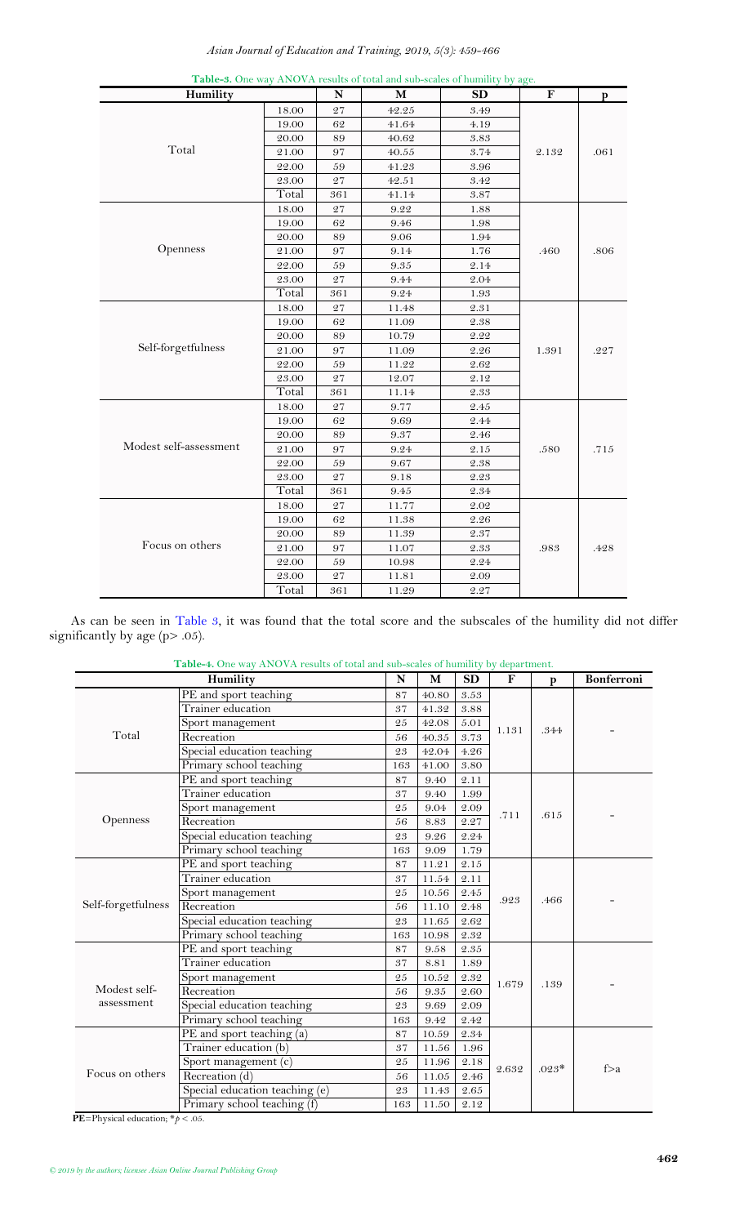*Asian Journal of Education and Training, 2019, 5(3): 459-466*

<span id="page-3-0"></span>

| Humility               |       |             | M     | <b>SD</b>                          | F     | p    |
|------------------------|-------|-------------|-------|------------------------------------|-------|------|
|                        | 18.00 | 27          | 42.25 | 3.49                               |       |      |
|                        | 19.00 | 62          | 41.64 | 4.19                               |       |      |
|                        | 20.00 | $\rm 89$    | 40.62 | $\boldsymbol{3.83}$                |       |      |
| Total                  | 21.00 | 97          | 40.55 | 3.74                               | 2.132 | .061 |
|                        | 22.00 | 59          | 41.23 | 3.96                               |       |      |
|                        | 23.00 | $\sqrt{27}$ | 42.51 | $3.4\mathbf{\textcolor{black}{Q}}$ |       |      |
|                        | Total | 361         | 41.14 | $3.87\,$                           |       |      |
|                        | 18.00 | 27          | 9.22  | 1.88                               |       |      |
|                        | 19.00 | 62          | 9.46  | 1.98                               |       |      |
|                        | 20.00 | 89          | 9.06  | 1.94                               |       |      |
| Openness               | 21.00 | 97          | 9.14  | 1.76                               | .460  | .806 |
|                        | 22.00 | 59          | 9.35  | 2.14                               |       |      |
|                        | 23.00 | 27          | 9.44  | 2.04                               |       |      |
|                        | Total | 361         | 9.24  | 1.93                               |       |      |
|                        | 18.00 | 27          | 11.48 | 2.31                               |       |      |
|                        | 19.00 | 62          | 11.09 | 2.38                               |       |      |
|                        | 20.00 | 89          | 10.79 | 2.22                               |       |      |
| Self-forgetfulness     | 21.00 | 97          | 11.09 | 2.26                               | 1.391 | .227 |
|                        | 22.00 | 59          | 11.22 | 2.62                               |       |      |
|                        | 23.00 | 27          | 12.07 | 2.12                               |       |      |
|                        | Total | 361         | 11.14 | 2.33                               |       |      |
|                        | 18.00 | 27          | 9.77  | $2.45\,$                           |       |      |
|                        | 19.00 | 62          | 9.69  | 2.44                               |       |      |
|                        | 20.00 | 89          | 9.37  | 2.46                               |       |      |
| Modest self-assessment | 21.00 | 97          | 9.24  | 2.15                               | .580  | .715 |
|                        | 22.00 | 59          | 9.67  | 2.38                               |       |      |
|                        | 23.00 | 27          | 9.18  | 2.23                               |       |      |
|                        | Total | 361         | 9.45  | 2.34                               |       |      |
|                        | 18.00 | 27          | 11.77 | 2.02                               |       |      |
|                        | 19.00 | 62          | 11.38 | 2.26                               |       |      |
|                        | 20.00 | 89          | 11.39 | $2.37\,$                           |       |      |
| Focus on others        | 21.00 | 97          | 11.07 | 2.33                               | .983  | .428 |
|                        | 22.00 | 59          | 10.98 | 2.24                               |       |      |
|                        | 23.00 | 27          | 11.81 | 2.09                               |       |      |
|                        | Total | 361         | 11.29 | 2.27                               |       |      |

**Table-3.** One way ANOVA results of total and sub-scales of humility by age.

As can be seen in [Table 3,](#page-3-0) it was found that the total score and the subscales of the humility did not differ significantly by age (p> .05).

<span id="page-3-1"></span>

| Table-4. One way ANOVA results of total and sub-scales of humility by department. |                                        |             |           |               |              |                   |     |  |
|-----------------------------------------------------------------------------------|----------------------------------------|-------------|-----------|---------------|--------------|-------------------|-----|--|
|                                                                                   | N                                      | M           | <b>SD</b> | F             | $\mathbf{p}$ | <b>Bonferroni</b> |     |  |
|                                                                                   | PE and sport teaching                  | 87          | 40.80     | 3.53          |              |                   |     |  |
|                                                                                   | Trainer education                      | 37          | 41.32     | 3.88          |              |                   |     |  |
|                                                                                   | Sport management                       | 25          | 42.08     | 5.01          |              | .344              |     |  |
| Total                                                                             | Recreation                             | 56          | 40.35     | 3.73          | 1.131        |                   |     |  |
|                                                                                   | Special education teaching             | 23          | 42.04     | 4.26          |              |                   |     |  |
|                                                                                   | Primary school teaching                | 163         | 41.00     | 3.80          |              |                   |     |  |
|                                                                                   | PE and sport teaching                  | 87          | 9.40      | 2.11          |              |                   |     |  |
|                                                                                   | Trainer education                      | 37          | 9.40      | 1.99          |              |                   |     |  |
|                                                                                   | Sport management                       | 25          | 9.04      | 2.09          | .711         | .615              |     |  |
| <b>Openness</b>                                                                   | Recreation                             | 56          | 8.83      | 2.27          |              |                   |     |  |
|                                                                                   | Special education teaching             | 23          | 9.26      | 2.24          |              |                   |     |  |
|                                                                                   | Primary school teaching                | 163         | 9.09      | 1.79          |              |                   |     |  |
|                                                                                   | PE and sport teaching                  | 87          | 11.21     | $2.15\,$      |              | .466              |     |  |
|                                                                                   | Trainer education                      | 37          | 11.54     | 2.11          |              |                   |     |  |
|                                                                                   | Sport management                       | 25          | 10.56     | $\sqrt{2.45}$ | .923         |                   |     |  |
| Self-forgetfulness                                                                | Recreation                             | 56          | 11.10     | $2.48\,$      |              |                   |     |  |
|                                                                                   | Special education teaching             | 23          | 11.65     | 2.62          |              |                   |     |  |
|                                                                                   | Primary school teaching                | 163         | 10.98     | 2.32          |              |                   |     |  |
|                                                                                   | PE and sport teaching                  | 87          | 9.58      | 2.35          |              |                   |     |  |
|                                                                                   | Trainer education                      | 37          | 8.81      | 1.89          |              |                   |     |  |
|                                                                                   | Sport management                       | 25          | 10.52     | $2.32\,$      | 1.679        | .139              |     |  |
| Modest self-                                                                      | Recreation                             | 56          | $9.35\,$  | 2.60          |              |                   |     |  |
| assessment                                                                        | Special education teaching             | 23          | 9.69      | 2.09          |              |                   |     |  |
|                                                                                   | Primary school teaching                | 163         | 9.42      | 2.42          |              |                   |     |  |
|                                                                                   | $\overline{PE}$ and sport teaching (a) | 87          | 10.59     | 2.34          |              |                   |     |  |
|                                                                                   | Trainer education (b)                  | 37          | 11.56     | 1.96          |              |                   |     |  |
|                                                                                   | Sport management (c)                   | 25          | 11.96     | 2.18          |              | $.023*$           | f>a |  |
| Focus on others                                                                   | Recreation $(d)$                       | 56          | 11.05     | 2.46          | 2.632        |                   |     |  |
|                                                                                   | Special education teaching (e)         | $\sqrt{23}$ | 11.43     | 2.65          |              |                   |     |  |
|                                                                                   | Primary school teaching (f)            | 163         | 11.50     | 2.12          |              |                   |     |  |

**PE**=Physical education;  $*p < .05$ .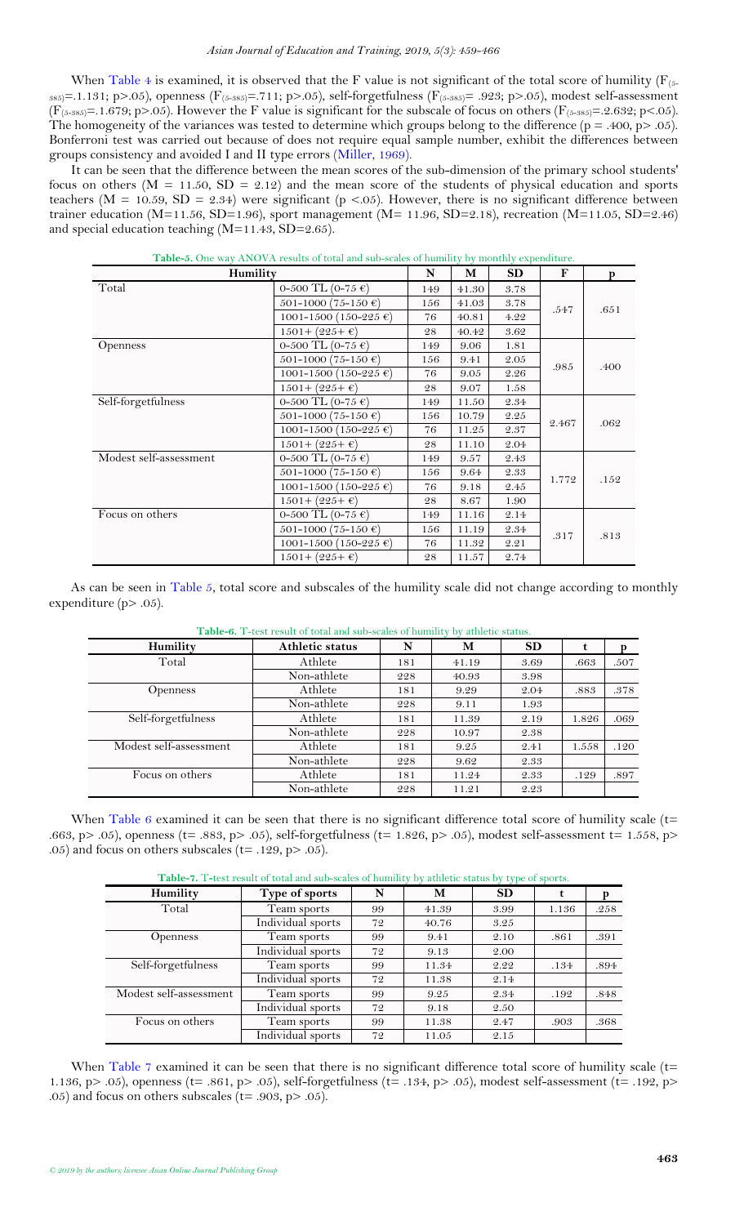#### *Asian Journal of Education and Training, 2019, 5(3): 459-466*

When [Table 4](#page-3-1) is examined, it is observed that the F value is not significant of the total score of humility ( $F_{(5-1)}$ 385)=.1.131; p>.05), openness (F<sub>(5-385)</sub>=.711; p>.05), self-forgetfulness (F<sub>(5-385)</sub>= .923; p>.05), modest self-assessment  $(F_{(5-385)}=1.679; p>0.05)$ . However the F value is significant for the subscale of focus on others  $(F_{(5-385)}=.2.632; p<.05)$ . The homogeneity of the variances was tested to determine which groups belong to the difference  $(p = .400, p > .05)$ . Bonferroni test was carried out because of does not require equal sample number, exhibit the differences between groups consistency and avoided I and II type errors [\(Miller, 1969\)](#page-7-17).

It can be seen that the difference between the mean scores of the sub-dimension of the primary school students' focus on others ( $M = 11.50$ ,  $SD = 2.12$ ) and the mean score of the students of physical education and sports teachers ( $M = 10.59$ ,  $SD = 2.34$ ) were significant ( $p < .05$ ). However, there is no significant difference between trainer education (M=11.56, SD=1.96), sport management (M= 11.96, SD=2.18), recreation (M=11.05, SD=2.46) and special education teaching  $(M=11.43, SD=2.65)$ .

<span id="page-4-0"></span>

| Humility               |                                    | N   | M     | <b>SD</b> | F     | p    |
|------------------------|------------------------------------|-----|-------|-----------|-------|------|
| Total                  | 0-500 TL (0-75 €)                  | 149 | 41.30 | 3.78      |       |      |
|                        | $501-1000(75-150 \epsilon)$        | 156 | 41.03 | 3.78      | .547  | .651 |
|                        | 1001-1500 (150-225 €)              | 76  | 40.81 | 4.22      |       |      |
|                        | $1501 + (225 + \epsilon)$          | 28  | 40.42 | 3.62      |       |      |
| <b>Openness</b>        | 0-500 TL (0-75 €)                  | 149 | 9.06  | 1.81      |       |      |
|                        | 501-1000 (75-150 €)                | 156 | 9.41  | 2.05      | .985  |      |
|                        | 1001-1500 (150-225 $\epsilon$ )    | 76  | 9.05  | 2.26      |       | .400 |
|                        | $1501 + (225 + \epsilon)$          | 28  | 9.07  | 1.58      |       |      |
| Self-forgetfulness     | 0-500 TL (0-75 €)                  | 149 | 11.50 | 2.34      |       |      |
|                        | $501-1000$ (75-150 €)              | 156 | 10.79 | 2.25      |       |      |
|                        | 1001-1500 (150-225 $\epsilon$ )    | 76  | 11.25 | 2.37      | 2.467 | .062 |
|                        | $1501 + (225 + \epsilon)$          | 28  | 11.10 | 2.04      |       |      |
| Modest self-assessment | 0-500 TL (0-75 $\epsilon$ )        | 149 | 9.57  | 2.43      |       |      |
|                        | $501-1000$ (75-150 €)              | 156 | 9.64  | 2.33      |       |      |
|                        | 1001-1500 (150-225 $\epsilon$ )    | 76  | 9.18  | 2.45      | 1.772 | .152 |
|                        | $1501 + (225 + \epsilon)$          | 28  | 8.67  | 1.90      |       |      |
| Focus on others        | 0-500 TL (0-75 €)                  | 149 | 11.16 | 2.14      |       |      |
|                        | 501-1000 (75-150 €)                | 156 | 11.19 | 2.34      |       |      |
|                        | $1001 - 1500 (150 - 225 \epsilon)$ | 76  | 11.32 | 2.21      | .317  | .813 |
|                        | $1501 + (225 + \epsilon)$          | 28  | 11.57 | 2.74      |       |      |

|  |  |  |  | <b>Table-5.</b> One way ANOVA results of total and sub-scales of humility by monthly expenditure. |
|--|--|--|--|---------------------------------------------------------------------------------------------------|
|  |  |  |  |                                                                                                   |

<span id="page-4-1"></span>As can be seen in [Table 5,](#page-4-0) total score and subscales of the humility scale did not change according to monthly expenditure (p> .05).

| Athletic status | N   | M     | <b>SD</b> | t     | p    |
|-----------------|-----|-------|-----------|-------|------|
| Athlete         | 181 | 41.19 | 3.69      | .663  | .507 |
| Non-athlete     | 228 | 40.93 | 3.98      |       |      |
| Athlete         | 181 | 9.29  | 2.04      | .883  | .378 |
| Non-athlete     | 228 | 9.11  | 1.93      |       |      |
| Athlete         | 181 | 11.39 | 2.19      | 1.826 | .069 |
| Non-athlete     | 228 | 10.97 | 2.38      |       |      |
| Athlete         | 181 | 9.25  | 2.41      | 1.558 | .120 |
| Non-athlete     | 228 | 9.62  | 2.33      |       |      |
| Athlete         | 181 | 11.24 | 2.33      | .129  | .897 |
| Non-athlete     | 228 | 11.21 | 2.23      |       |      |
|                 |     |       |           |       |      |

**Table-6.** T-test result of total and sub-scales of humility by athletic status.

<span id="page-4-2"></span>When [Table 6](#page-4-1) examined it can be seen that there is no significant difference total score of humility scale ( $t=$ .663, p> .05), openness (t= .883, p> .05), self-forgetfulness (t= 1.826, p> .05), modest self-assessment t= 1.558, p> .05) and focus on others subscales ( $t=$  .129, p $>$  .05).

|                        |                   |    |       | $\sqrt{1}$ |       |      |
|------------------------|-------------------|----|-------|------------|-------|------|
| Humility               | Type of sports    | N  | М     | <b>SD</b>  | t     |      |
| Total                  | Team sports       | 99 | 41.39 | 3.99       | 1.136 | .258 |
|                        | Individual sports | 72 | 40.76 | 3.25       |       |      |
| <b>Openness</b>        | Team sports       | 99 | 9.41  | 2.10       | .861  | .391 |
|                        | Individual sports | 72 | 9.13  | 2.00       |       |      |
| Self-forgetfulness     | Team sports       | 99 | 11.34 | 2.22       | .134  | .894 |
|                        | Individual sports | 72 | 11.38 | 2.14       |       |      |
| Modest self-assessment | Team sports       | 99 | 9.25  | 2.34       | .192  | .848 |
|                        | Individual sports | 72 | 9.18  | 2.50       |       |      |
| Focus on others        | Team sports       | 99 | 11.38 | 2.47       | .903  | .368 |
|                        | Individual sports | 72 | 11.05 | 2.15       |       |      |

**Table-7.** T**-**test result of total and sub-scales of humility by athletic status by type of sports.

When [Table 7](#page-4-2) examined it can be seen that there is no significant difference total score of humility scale (t= 1.136, p> .05), openness (t= .861, p> .05), self-forgetfulness (t= .134, p> .05), modest self-assessment (t= .192, p> .05) and focus on others subscales ( $t=$  .903, p $>$  .05).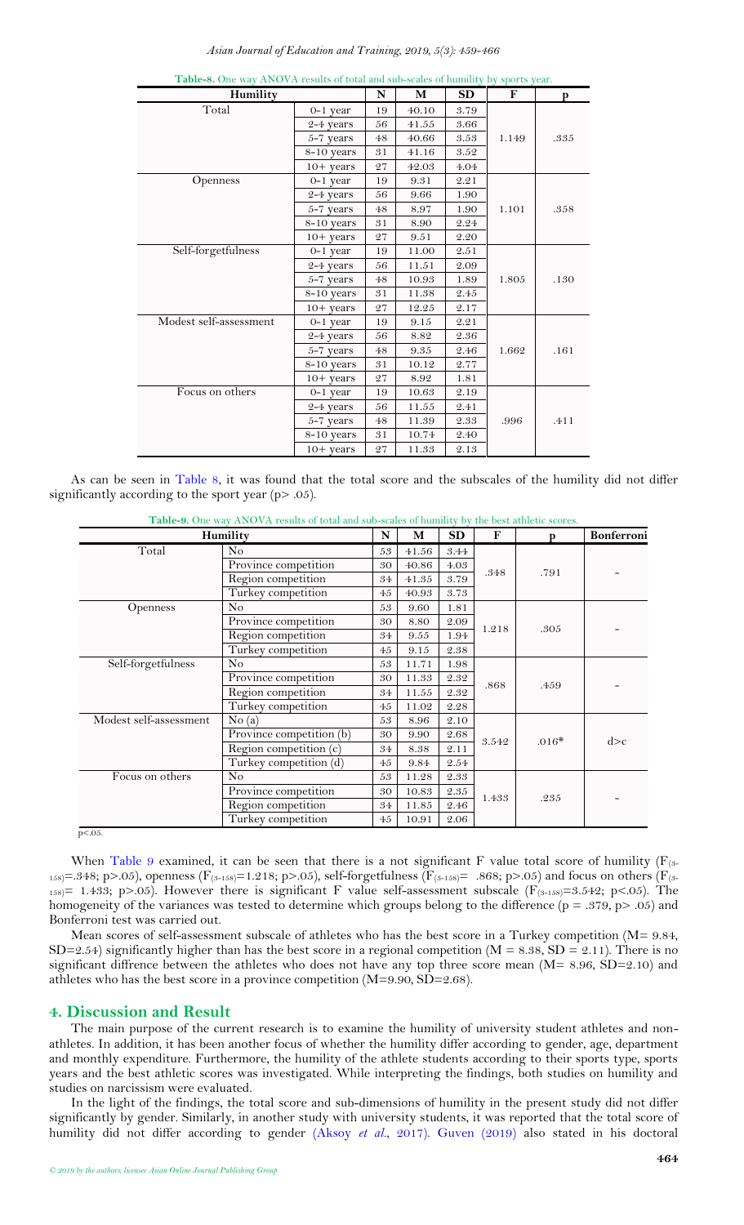*Asian Journal of Education and Training, 2019, 5(3): 459-466*

<span id="page-5-1"></span>

| Humility               |             | N  | M     | <b>SD</b> | F     | p    |
|------------------------|-------------|----|-------|-----------|-------|------|
| Total                  | $0-1$ year  | 19 | 40.10 | 3.79      |       |      |
|                        | $2-4$ years | 56 | 41.55 | 3.66      |       |      |
|                        | 5-7 years   | 48 | 40.66 | 3.53      | 1.149 | .335 |
|                        | 8-10 years  | 31 | 41.16 | 3.52      |       |      |
|                        | $10+$ years | 27 | 42.03 | 4.04      |       |      |
| <b>Openness</b>        | 0-1 year    | 19 | 9.31  | 2.21      |       |      |
|                        | 2-4 years   | 56 | 9.66  | 1.90      |       |      |
|                        | 5-7 years   | 48 | 8.97  | 1.90      | 1.101 | .358 |
|                        | 8-10 years  | 31 | 8.90  | 2.24      |       |      |
|                        | $10+ years$ | 27 | 9.51  | 2.20      |       |      |
| Self-forgetfulness     | $0-1$ year  | 19 | 11.00 | 2.51      |       |      |
|                        | $2-4$ years | 56 | 11.51 | 2.09      |       |      |
|                        | 5-7 years   | 48 | 10.93 | 1.89      | 1.805 | .130 |
|                        | 8-10 years  | 31 | 11.38 | 2.45      |       |      |
|                        | $10+$ years | 27 | 12.25 | 2.17      |       |      |
| Modest self-assessment | 0-1 year    | 19 | 9.15  | 2.21      |       |      |
|                        | 2-4 years   | 56 | 8.82  | 2.36      |       |      |
|                        | 5-7 years   | 48 | 9.35  | 2.46      | 1.662 | .161 |
|                        | 8-10 years  | 31 | 10.12 | 2.77      |       |      |
|                        | $10+$ years | 27 | 8.92  | 1.81      |       |      |
| Focus on others        | $0-1$ year  | 19 | 10.63 | 2.19      |       |      |
|                        | 2-4 years   | 56 | 11.55 | 2.41      |       |      |
|                        | $5-7$ years | 48 | 11.39 | 2.33      | .996  | .411 |
|                        | 8-10 years  | 31 | 10.74 | 2.40      |       |      |
|                        | $10+$ years | 27 | 11.33 | 2.13      |       |      |

**Table-8.** One way ANOVA results of total and sub-scales of humility by sports year.

As can be seen in [Table 8,](#page-5-1) it was found that the total score and the subscales of the humility did not differ significantly according to the sport year ( $p$  > .05).

**Table-9.** One way ANOVA results of total and sub-scales of humility by the best athletic scores.

<span id="page-5-2"></span>

|                        | Humility                 | N  | М     | SD       | F     | p       | Bonferroni |
|------------------------|--------------------------|----|-------|----------|-------|---------|------------|
| Total                  | N <sub>o</sub>           | 53 | 41.56 | 3.44     |       |         |            |
|                        | Province competition     | 30 | 40.86 | 4.03     | .348  | .791    |            |
|                        | Region competition       | 34 | 41.35 | 3.79     |       |         |            |
|                        | Turkey competition       | 45 | 40.93 | 3.73     |       |         |            |
| <b>Openness</b>        | N <sub>o</sub>           | 53 | 9.60  | 1.81     |       |         |            |
|                        | Province competition     | 30 | 8.80  | 2.09     | 1.218 | .305    |            |
|                        | Region competition       | 34 | 9.55  | 1.94     |       |         |            |
|                        | Turkey competition       | 45 | 9.15  | 2.38     |       |         |            |
| Self-forgetfulness     | N <sub>o</sub>           | 53 | 11.71 | 1.98     |       |         |            |
|                        | Province competition     | 30 | 11.33 | 2.32     | .868  | .459    |            |
|                        | Region competition       | 34 | 11.55 | 2.32     |       |         |            |
|                        | Turkey competition       | 45 | 11.02 | 2.28     |       |         |            |
| Modest self-assessment | No(a)                    | 53 | 8.96  | 2.10     |       |         |            |
|                        | Province competition (b) | 30 | 9.90  | 2.68     | 3.542 | $.016*$ | d > c      |
|                        | Region competition (c)   | 34 | 8.38  | 2.11     |       |         |            |
|                        | Turkey competition (d)   | 45 | 9.84  | 2.54     |       |         |            |
| Focus on others        | N <sub>o</sub>           | 53 | 11.28 | $2.33\,$ |       |         |            |
|                        | Province competition     | 30 | 10.83 | $2.35\,$ | 1.433 | .235    |            |
|                        | Region competition       | 34 | 11.85 | 2.46     |       |         |            |
|                        | Turkey competition       | 45 | 10.91 | 2.06     |       |         |            |

 $p < 0.05$ .

When [Table 9](#page-5-2) examined, it can be seen that there is a not significant F value total score of humility ( $F_{(3-1)}$  $_{158}$ =.348; p>.05), openness (F<sub>(3-158</sub>)=1.218; p>.05), self-forgetfulness (F<sub>(3-158</sub>)= .868; p>.05) and focus on others (F<sub>(3-158</sub>)=  $_{158}$  = 1.433; p>.05). However there is significant F value self-assessment subscale (F<sub>(3-158)</sub>=3.542; p<.05). The homogeneity of the variances was tested to determine which groups belong to the difference (p = .379, p> .05) and Bonferroni test was carried out.

Mean scores of self-assessment subscale of athletes who has the best score in a Turkey competition (M= 9.84, SD=2.54) significantly higher than has the best score in a regional competition ( $M = 8.38$ , SD = 2.11). There is no significant diffrence between the athletes who does not have any top three score mean (M= 8.96, SD=2.10) and athletes who has the best score in a province competition  $(M=9.90, SD=2.68)$ .

# <span id="page-5-0"></span>**4. Discussion and Result**

The main purpose of the current research is to examine the humility of university student athletes and nonathletes. In addition, it has been another focus of whether the humility differ according to gender, age, department and monthly expenditure. Furthermore, the humility of the athlete students according to their sports type, sports years and the best athletic scores was investigated. While interpreting the findings, both studies on humility and studies on narcissism were evaluated.

In the light of the findings, the total score and sub-dimensions of humility in the present study did not differ significantly by gender. Similarly, in another study with university students, it was reported that the total score of humility did not differ according to gender (Aksoy *et al.*[, 2017\)](#page-7-15). [Guven \(2019\)](#page-7-18) also stated in his doctoral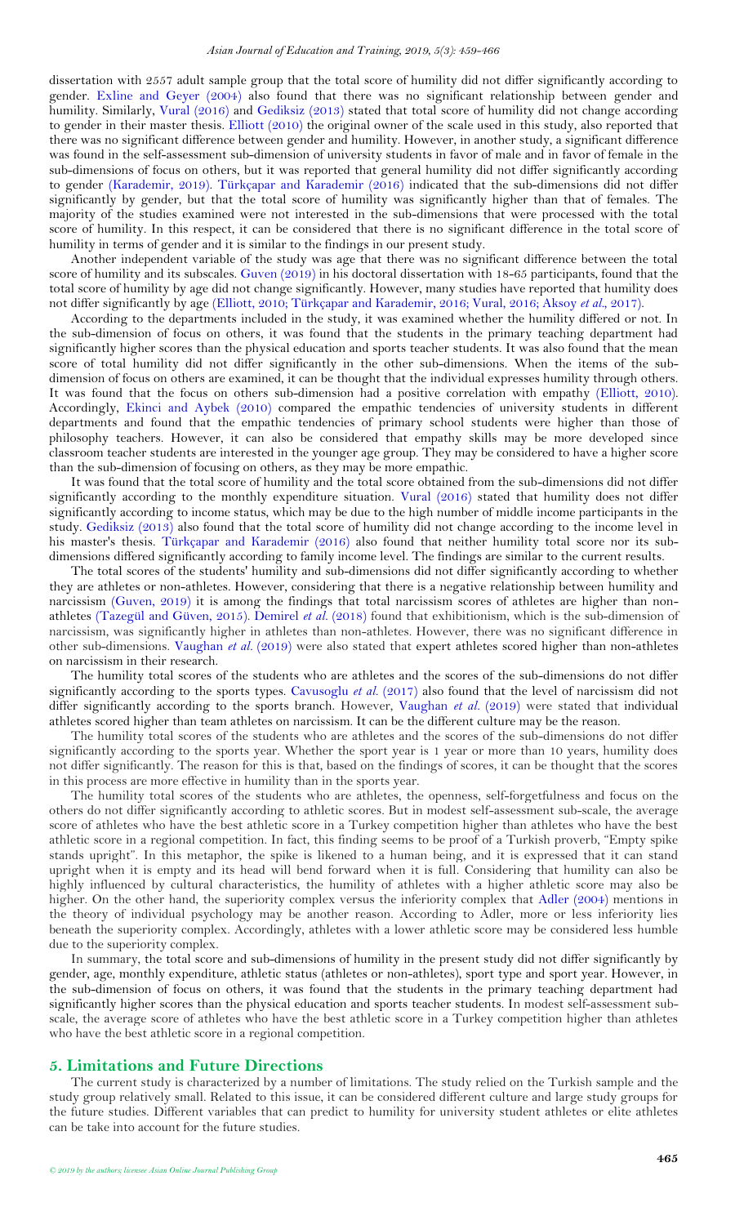dissertation with 2557 adult sample group that the total score of humility did not differ significantly according to gender. [Exline and Geyer \(2004\)](#page-7-19) also found that there was no significant relationship between gender and humility. Similarly, [Vural \(2016\)](#page-7-20) and [Gediksiz \(2013\)](#page-7-16) stated that total score of humility did not change according to gender in their master thesis. [Elliott \(2010\)](#page-7-0) the original owner of the scale used in this study, also reported that there was no significant difference between gender and humility. However, in another study, a significant difference was found in the self-assessment sub-dimension of university students in favor of male and in favor of female in the sub-dimensions of focus on others, but it was reported that general humility did not differ significantly according to gender [\(Karademir, 2019\)](#page-7-21). [Türkçapar and Karademir \(2016\)](#page-7-14) indicated that the sub-dimensions did not differ significantly by gender, but that the total score of humility was significantly higher than that of females. The majority of the studies examined were not interested in the sub-dimensions that were processed with the total score of humility. In this respect, it can be considered that there is no significant difference in the total score of humility in terms of gender and it is similar to the findings in our present study.

Another independent variable of the study was age that there was no significant difference between the total score of humility and its subscales. [Guven \(2019\)](#page-7-18) in his doctoral dissertation with 18-65 participants, found that the total score of humility by age did not change significantly. However, many studies have reported that humility does not differ significantly by age [\(Elliott, 2010;](#page-7-0) [Türkçapar and Karademir, 2016;](#page-7-14) [Vural, 2016;](#page-7-20) [Aksoy](#page-7-15) *et al.*, 2017).

According to the departments included in the study, it was examined whether the humility differed or not. In the sub-dimension of focus on others, it was found that the students in the primary teaching department had significantly higher scores than the physical education and sports teacher students. It was also found that the mean score of total humility did not differ significantly in the other sub-dimensions. When the items of the subdimension of focus on others are examined, it can be thought that the individual expresses humility through others. It was found that the focus on others sub-dimension had a positive correlation with empathy [\(Elliott, 2010\)](#page-7-0). Accordingly, [Ekinci and Aybek \(2010\)](#page-7-22) compared the empathic tendencies of university students in different departments and found that the empathic tendencies of primary school students were higher than those of philosophy teachers. However, it can also be considered that empathy skills may be more developed since classroom teacher students are interested in the younger age group. They may be considered to have a higher score than the sub-dimension of focusing on others, as they may be more empathic.

It was found that the total score of humility and the total score obtained from the sub-dimensions did not differ significantly according to the monthly expenditure situation. [Vural \(2016\)](#page-7-20) stated that humility does not differ significantly according to income status, which may be due to the high number of middle income participants in the study. [Gediksiz \(2013\)](#page-7-16) also found that the total score of humility did not change according to the income level in his master's thesis. [Türkçapar and Karademir \(2016\)](#page-7-14) also found that neither humility total score nor its subdimensions differed significantly according to family income level. The findings are similar to the current results.

The total scores of the students' humility and sub-dimensions did not differ significantly according to whether they are athletes or non-athletes. However, considering that there is a negative relationship between humility and narcissism [\(Guven, 2019\)](#page-7-18) it is among the findings that total narcissism scores of athletes are higher than nonathletes [\(Tazegül and Güven, 2015\)](#page-7-23). [Demirel](#page-7-24) *et al.* (2018) found that exhibitionism, which is the sub-dimension of narcissism, was significantly higher in athletes than non-athletes. However, there was no significant difference in other sub-dimensions. [Vaughan](#page-7-25) *et al.* (2019) were also stated that expert athletes scored higher than non-athletes on narcissism in their research.

The humility total scores of the students who are athletes and the scores of the sub-dimensions do not differ significantly according to the sports types. [Cavusoglu](#page-7-26) *et al.* (2017) also found that the level of narcissism did not differ significantly according to the sports branch. However, [Vaughan](#page-7-25) *et al.* (2019) were stated that individual athletes scored higher than team athletes on narcissism. It can be the different culture may be the reason.

The humility total scores of the students who are athletes and the scores of the sub-dimensions do not differ significantly according to the sports year. Whether the sport year is 1 year or more than 10 years, humility does not differ significantly. The reason for this is that, based on the findings of scores, it can be thought that the scores in this process are more effective in humility than in the sports year.

The humility total scores of the students who are athletes, the openness, self-forgetfulness and focus on the others do not differ significantly according to athletic scores. But in modest self-assessment sub-scale, the average score of athletes who have the best athletic score in a Turkey competition higher than athletes who have the best athletic score in a regional competition. In fact, this finding seems to be proof of a Turkish proverb, "Empty spike stands upright". In this metaphor, the spike is likened to a human being, and it is expressed that it can stand upright when it is empty and its head will bend forward when it is full. Considering that humility can also be highly influenced by cultural characteristics, the humility of athletes with a higher athletic score may also be higher. On the other hand, the superiority complex versus the inferiority complex that [Adler \(2004\)](#page-7-27) mentions in the theory of individual psychology may be another reason. According to Adler, more or less inferiority lies beneath the superiority complex. Accordingly, athletes with a lower athletic score may be considered less humble due to the superiority complex.

In summary, the total score and sub-dimensions of humility in the present study did not differ significantly by gender, age, monthly expenditure, athletic status (athletes or non-athletes), sport type and sport year. However, in the sub-dimension of focus on others, it was found that the students in the primary teaching department had significantly higher scores than the physical education and sports teacher students. In modest self-assessment subscale, the average score of athletes who have the best athletic score in a Turkey competition higher than athletes who have the best athletic score in a regional competition.

### <span id="page-6-0"></span>**5. Limitations and Future Directions**

The current study is characterized by a number of limitations. The study relied on the Turkish sample and the study group relatively small. Related to this issue, it can be considered different culture and large study groups for the future studies. Different variables that can predict to humility for university student athletes or elite athletes can be take into account for the future studies.